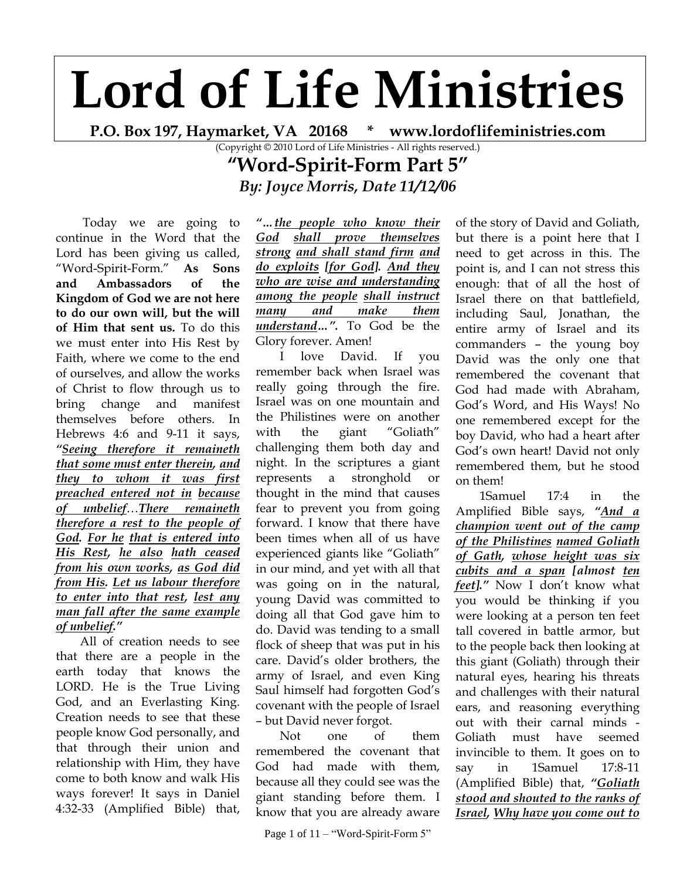## **Lord of Life Ministries**

**P.O. Box 197, Haymarket, VA 20168 \* www.lordoflifeministries.com**

## **"Word-Spirit-Form Part 5"** *By: Joyce Morris, Date 11/12/06*

Today we are going to continue in the Word that the Lord has been giving us called, "Word-Spirit-Form." **As Sons and Ambassadors of the Kingdom of God we are not here to do our own will, but the will of Him that sent us.** To do this we must enter into His Rest by Faith, where we come to the end of ourselves, and allow the works of Christ to flow through us to bring change and manifest themselves before others. In Hebrews 4:6 and 9-11 it says, *"Seeing therefore it remaineth that some must enter therein, and they to whom it was first preached entered not in because of unbelief*…*There remaineth therefore a rest to the people of God. For he that is entered into His Rest, he also hath ceased from his own works, as God did from His. Let us labour therefore to enter into that rest, lest any man fall after the same example of unbelief."*

All of creation needs to see that there are a people in the earth today that knows the LORD. He is the True Living God, and an Everlasting King. Creation needs to see that these people know God personally, and that through their union and relationship with Him, they have come to both know and walk His ways forever! It says in Daniel 4:32-33 (Amplified Bible) that,

*"…the people who know their God shall prove themselves strong and shall stand firm and do exploits [for God]. And they who are wise and understanding among the people shall instruct many and make them understand…".* To God be the Glory forever. Amen!

I love David. If you remember back when Israel was really going through the fire. Israel was on one mountain and the Philistines were on another with the giant "Goliath" challenging them both day and night. In the scriptures a giant represents a stronghold or thought in the mind that causes fear to prevent you from going forward. I know that there have been times when all of us have experienced giants like "Goliath" in our mind, and yet with all that was going on in the natural, young David was committed to doing all that God gave him to do. David was tending to a small flock of sheep that was put in his care. David"s older brothers, the army of Israel, and even King Saul himself had forgotten God's covenant with the people of Israel – but David never forgot.

Not one of them remembered the covenant that God had made with them, because all they could see was the giant standing before them. I know that you are already aware

Page 1 of 11 – "Word-Spirit-Form 5"

of the story of David and Goliath, but there is a point here that I need to get across in this. The point is, and I can not stress this enough: that of all the host of Israel there on that battlefield, including Saul, Jonathan, the entire army of Israel and its commanders – the young boy David was the only one that remembered the covenant that God had made with Abraham, God"s Word, and His Ways! No one remembered except for the boy David, who had a heart after God"s own heart! David not only remembered them, but he stood on them!

1Samuel 17:4 in the Amplified Bible says, *"And a champion went out of the camp of the Philistines named Goliath of Gath, whose height was six cubits and a span [almost ten feet].*" Now I don't know what you would be thinking if you were looking at a person ten feet tall covered in battle armor, but to the people back then looking at this giant (Goliath) through their natural eyes, hearing his threats and challenges with their natural ears, and reasoning everything out with their carnal minds - Goliath must have seemed invincible to them. It goes on to say in 1Samuel 17:8-11 (Amplified Bible) that, *"Goliath stood and shouted to the ranks of Israel, Why have you come out to* 

<sup>(</sup>Copyright © 2010 Lord of Life Ministries - All rights reserved.)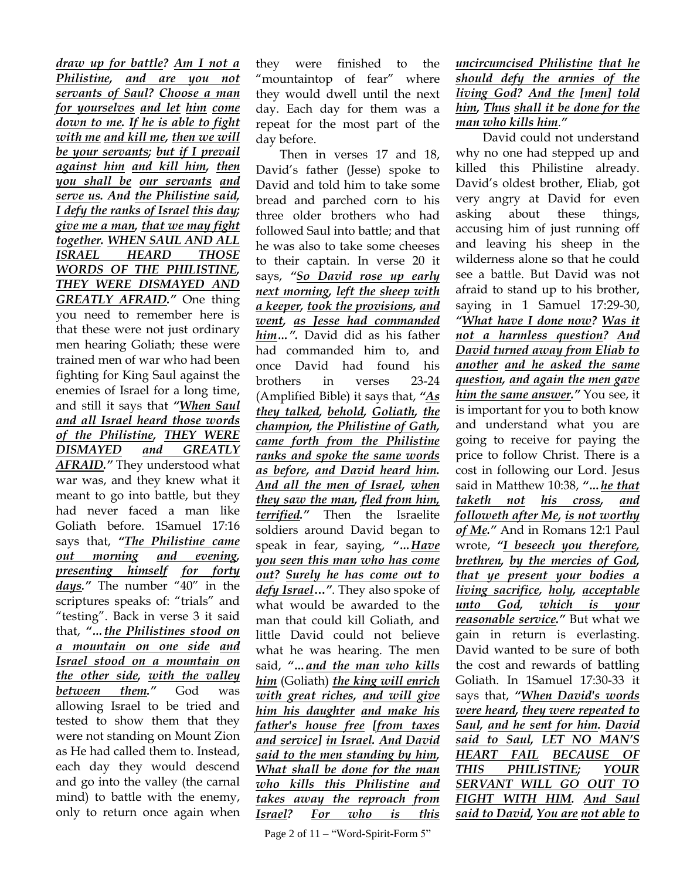*draw up for battle? Am I not a Philistine, and are you not servants of Saul? Choose a man for yourselves and let him come down to me. If he is able to fight with me and kill me, then we will be your servants; but if I prevail against him and kill him, then you shall be our servants and serve us. And the Philistine said, I defy the ranks of Israel this day; give me a man, that we may fight together. WHEN SAUL AND ALL ISRAEL HEARD THOSE WORDS OF THE PHILISTINE, THEY WERE DISMAYED AND GREATLY AFRAID."* One thing you need to remember here is that these were not just ordinary men hearing Goliath; these were trained men of war who had been fighting for King Saul against the enemies of Israel for a long time, and still it says that *"When Saul and all Israel heard those words of the Philistine, THEY WERE DISMAYED and GREATLY AFRAID."* They understood what war was, and they knew what it meant to go into battle, but they had never faced a man like Goliath before. 1Samuel 17:16 says that, *"The Philistine came out morning and evening, presenting himself for forty days."* The number "40" in the scriptures speaks of: "trials" and "testing". Back in verse 3 it said that, *"…the Philistines stood on a mountain on one side and Israel stood on a mountain on the other side, with the valley between them."* God was allowing Israel to be tried and tested to show them that they were not standing on Mount Zion as He had called them to. Instead, each day they would descend and go into the valley (the carnal mind) to battle with the enemy, only to return once again when

they were finished to the "mountaintop of fear" where they would dwell until the next day. Each day for them was a repeat for the most part of the day before.

Then in verses 17 and 18, David"s father (Jesse) spoke to David and told him to take some bread and parched corn to his three older brothers who had followed Saul into battle; and that he was also to take some cheeses to their captain. In verse 20 it says, *"So David rose up early next morning, left the sheep with a keeper, took the provisions, and went, as Jesse had commanded him…".* David did as his father had commanded him to, and once David had found his brothers in verses 23-24 (Amplified Bible) it says that, *"As they talked, behold, Goliath, the champion, the Philistine of Gath, came forth from the Philistine ranks and spoke the same words as before, and David heard him. And all the men of Israel, when they saw the man, fled from him, terrified."* Then the Israelite soldiers around David began to speak in fear, saying, *"…Have you seen this man who has come out? Surely he has come out to defy Israel***…***"*. They also spoke of what would be awarded to the man that could kill Goliath, and little David could not believe what he was hearing. The men said, *"…and the man who kills him* (Goliath) *the king will enrich with great riches, and will give him his daughter and make his father's house free [from taxes and service] in Israel. And David said to the men standing by him, What shall be done for the man who kills this Philistine and takes away the reproach from Israel? For who is this* 

*uncircumcised Philistine that he should defy the armies of the living God? And the [men] told him, Thus shall it be done for the man who kills him*.*"*

David could not understand why no one had stepped up and killed this Philistine already. David"s oldest brother, Eliab, got very angry at David for even asking about these things, accusing him of just running off and leaving his sheep in the wilderness alone so that he could see a battle. But David was not afraid to stand up to his brother, saying in 1 Samuel 17:29-30, *"What have I done now? Was it not a harmless question? And David turned away from Eliab to another and he asked the same question, and again the men gave him the same answer."* You see, it is important for you to both know and understand what you are going to receive for paying the price to follow Christ. There is a cost in following our Lord. Jesus said in Matthew 10:38, *"…he that taketh not his cross, and followeth after Me, is not worthy of Me."* And in Romans 12:1 Paul wrote, *"I beseech you therefore, brethren, by the mercies of God, that ye present your bodies a living sacrifice, holy, acceptable unto God, which is your reasonable service."* But what we gain in return is everlasting. David wanted to be sure of both the cost and rewards of battling Goliath. In 1Samuel 17:30-33 it says that, *"When David's words were heard, they were repeated to Saul, and he sent for him. David said to Saul, LET NO MAN'S HEART FAIL BECAUSE OF THIS PHILISTINE; YOUR SERVANT WILL GO OUT TO FIGHT WITH HIM. And Saul said to David, You are not able to*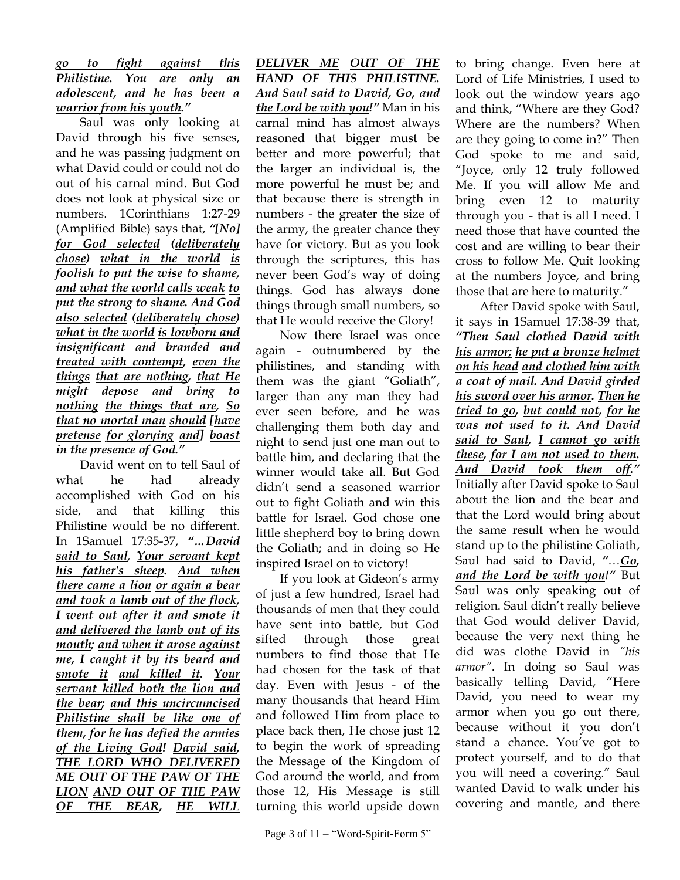## *go to fight against this Philistine. You are only an adolescent, and he has been a warrior from his youth."*

Saul was only looking at David through his five senses, and he was passing judgment on what David could or could not do out of his carnal mind. But God does not look at physical size or numbers. 1Corinthians 1:27-29 (Amplified Bible) says that, *"[No] for God selected (deliberately chose) what in the world is foolish to put the wise to shame, and what the world calls weak to put the strong to shame. And God also selected (deliberately chose) what in the world is lowborn and insignificant and branded and treated with contempt, even the things that are nothing, that He might depose and bring to nothing the things that are, So that no mortal man should [have pretense for glorying and] boast in the presence of God."*

David went on to tell Saul of what he had already accomplished with God on his side, and that killing this Philistine would be no different. In 1Samuel 17:35-37, *"…David said to Saul, Your servant kept his father's sheep. And when there came a lion or again a bear and took a lamb out of the flock, I went out after it and smote it and delivered the lamb out of its mouth; and when it arose against me, I caught it by its beard and smote it and killed it. Your servant killed both the lion and the bear; and this uncircumcised Philistine shall be like one of them, for he has defied the armies of the Living God! David said, THE LORD WHO DELIVERED ME OUT OF THE PAW OF THE LION AND OUT OF THE PAW OF THE BEAR, HE WILL* 

*DELIVER ME OUT OF THE HAND OF THIS PHILISTINE. And Saul said to David, Go, and the Lord be with you!"* Man in his carnal mind has almost always reasoned that bigger must be better and more powerful; that the larger an individual is, the more powerful he must be; and that because there is strength in numbers - the greater the size of the army, the greater chance they have for victory. But as you look through the scriptures, this has never been God"s way of doing things. God has always done things through small numbers, so that He would receive the Glory!

Now there Israel was once again - outnumbered by the philistines, and standing with them was the giant "Goliath", larger than any man they had ever seen before, and he was challenging them both day and night to send just one man out to battle him, and declaring that the winner would take all. But God didn"t send a seasoned warrior out to fight Goliath and win this battle for Israel. God chose one little shepherd boy to bring down the Goliath; and in doing so He inspired Israel on to victory!

If you look at Gideon"s army of just a few hundred, Israel had thousands of men that they could have sent into battle, but God sifted through those great numbers to find those that He had chosen for the task of that day. Even with Jesus - of the many thousands that heard Him and followed Him from place to place back then, He chose just 12 to begin the work of spreading the Message of the Kingdom of God around the world, and from those 12, His Message is still turning this world upside down to bring change. Even here at Lord of Life Ministries, I used to look out the window years ago and think, "Where are they God? Where are the numbers? When are they going to come in?" Then God spoke to me and said, "Joyce, only 12 truly followed Me. If you will allow Me and bring even 12 to maturity through you - that is all I need. I need those that have counted the cost and are willing to bear their cross to follow Me. Quit looking at the numbers Joyce, and bring those that are here to maturity."

After David spoke with Saul, it says in 1Samuel 17:38-39 that, *"Then Saul clothed David with his armor; he put a bronze helmet on his head and clothed him with a coat of mail. And David girded his sword over his armor. Then he tried to go, but could not, for he was not used to it. And David said to Saul, I cannot go with these, for I am not used to them. And David took them off."* Initially after David spoke to Saul about the lion and the bear and that the Lord would bring about the same result when he would stand up to the philistine Goliath, Saul had said to David, *"*…*Go, and the Lord be with you!"* But Saul was only speaking out of religion. Saul didn"t really believe that God would deliver David, because the very next thing he did was clothe David in *"his armor"*. In doing so Saul was basically telling David, "Here David, you need to wear my armor when you go out there, because without it you don't stand a chance. You"ve got to protect yourself, and to do that you will need a covering." Saul wanted David to walk under his covering and mantle, and there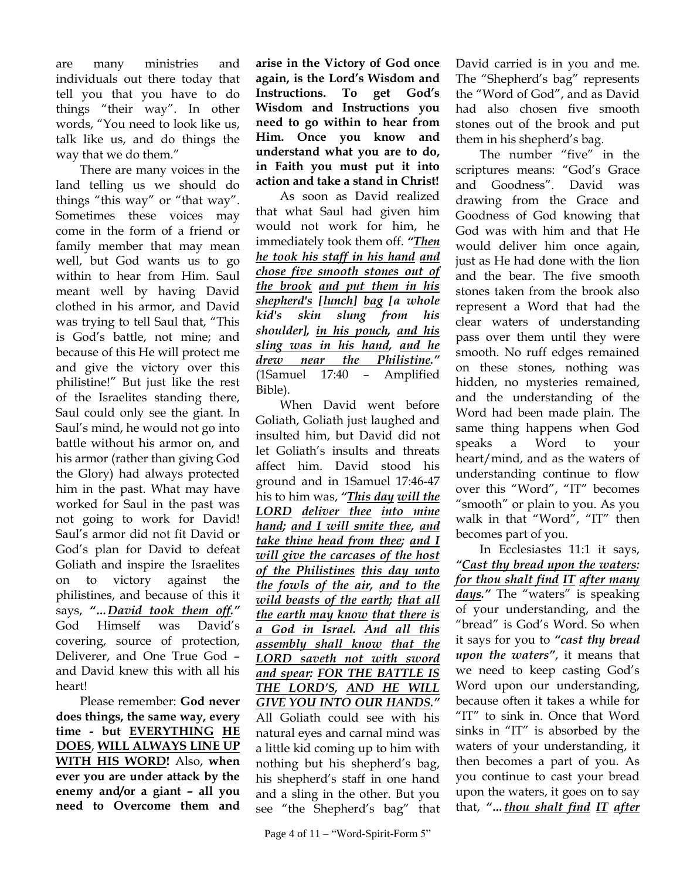are many ministries and individuals out there today that tell you that you have to do things "their way". In other words, "You need to look like us, talk like us, and do things the way that we do them."

There are many voices in the land telling us we should do things "this way" or "that way". Sometimes these voices may come in the form of a friend or family member that may mean well, but God wants us to go within to hear from Him. Saul meant well by having David clothed in his armor, and David was trying to tell Saul that, "This is God"s battle, not mine; and because of this He will protect me and give the victory over this philistine!" But just like the rest of the Israelites standing there, Saul could only see the giant. In Saul"s mind, he would not go into battle without his armor on, and his armor (rather than giving God the Glory) had always protected him in the past. What may have worked for Saul in the past was not going to work for David! Saul"s armor did not fit David or God"s plan for David to defeat Goliath and inspire the Israelites on to victory against the philistines, and because of this it says, *"…David took them off."* God Himself was David"s covering, source of protection, Deliverer, and One True God – and David knew this with all his heart!

Please remember: **God never does things, the same way, every time - but EVERYTHING HE DOES**, **WILL ALWAYS LINE UP WITH HIS WORD!** Also, **when ever you are under attack by the enemy and/or a giant – all you need to Overcome them and**  **arise in the Victory of God once again, is the Lord's Wisdom and Instructions. To get God's Wisdom and Instructions you need to go within to hear from Him. Once you know and understand what you are to do, in Faith you must put it into action and take a stand in Christ!**

As soon as David realized that what Saul had given him would not work for him, he immediately took them off. *"Then he took his staff in his hand and chose five smooth stones out of the brook and put them in his shepherd's [lunch] bag [a whole kid's skin slung from his shoulder], in his pouch, and his sling was in his hand, and he drew near the Philistine."* (1Samuel 17:40 – Amplified Bible).

When David went before Goliath, Goliath just laughed and insulted him, but David did not let Goliath's insults and threats affect him. David stood his ground and in 1Samuel 17:46-47 his to him was, *"This day will the LORD deliver thee into mine hand; and I will smite thee, and take thine head from thee; and I will give the carcases of the host of the Philistines this day unto the fowls of the air, and to the wild beasts of the earth; that all the earth may know that there is a God in Israel. And all this assembly shall know that the LORD saveth not with sword and spear: FOR THE BATTLE IS THE LORD'S, AND HE WILL GIVE YOU INTO OUR HANDS."* All Goliath could see with his

natural eyes and carnal mind was a little kid coming up to him with nothing but his shepherd"s bag, his shepherd"s staff in one hand and a sling in the other. But you see "the Shepherd's bag" that David carried is in you and me. The "Shepherd"s bag" represents the "Word of God", and as David had also chosen five smooth stones out of the brook and put them in his shepherd"s bag.

The number "five" in the scriptures means: "God's Grace and Goodness". David was drawing from the Grace and Goodness of God knowing that God was with him and that He would deliver him once again, just as He had done with the lion and the bear. The five smooth stones taken from the brook also represent a Word that had the clear waters of understanding pass over them until they were smooth. No ruff edges remained on these stones, nothing was hidden, no mysteries remained, and the understanding of the Word had been made plain. The same thing happens when God speaks a Word to your heart/mind, and as the waters of understanding continue to flow over this "Word", "IT" becomes "smooth" or plain to you. As you walk in that "Word", "IT" then becomes part of you.

In Ecclesiastes 11:1 it says, *"Cast thy bread upon the waters: for thou shalt find IT after many days."* The "waters" is speaking of your understanding, and the "bread" is God"s Word. So when it says for you to *"cast thy bread upon the waters"*, it means that we need to keep casting God"s Word upon our understanding, because often it takes a while for "IT" to sink in. Once that Word sinks in "IT" is absorbed by the waters of your understanding, it then becomes a part of you. As you continue to cast your bread upon the waters, it goes on to say that, *"…thou shalt find IT after*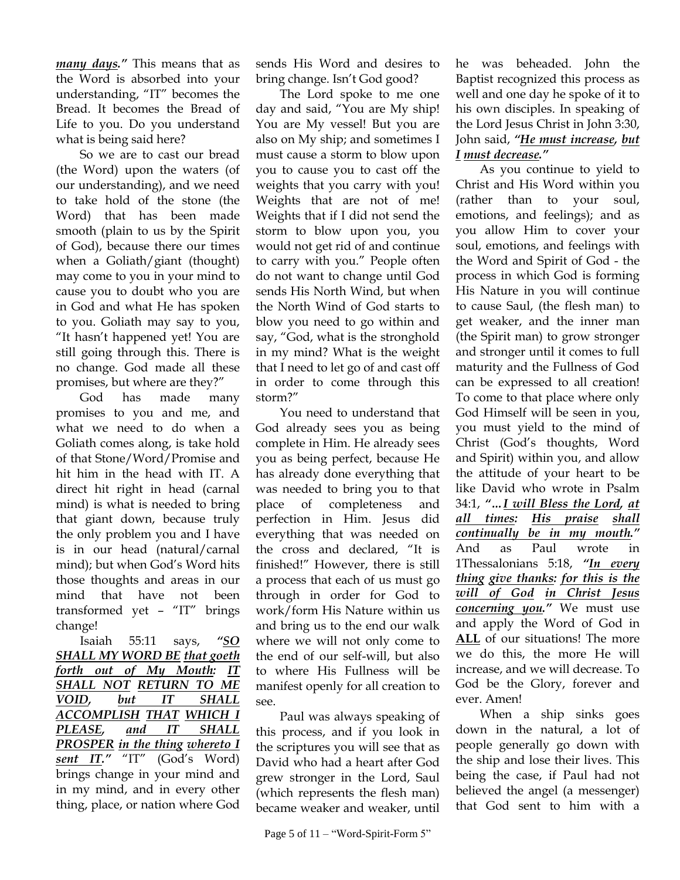*many days."* This means that as the Word is absorbed into your understanding, "IT" becomes the Bread. It becomes the Bread of Life to you. Do you understand what is being said here?

So we are to cast our bread (the Word) upon the waters (of our understanding), and we need to take hold of the stone (the Word) that has been made smooth (plain to us by the Spirit of God), because there our times when a Goliath/giant (thought) may come to you in your mind to cause you to doubt who you are in God and what He has spoken to you. Goliath may say to you, "It hasn"t happened yet! You are still going through this. There is no change. God made all these promises, but where are they?"

God has made many promises to you and me, and what we need to do when a Goliath comes along, is take hold of that Stone/Word/Promise and hit him in the head with IT. A direct hit right in head (carnal mind) is what is needed to bring that giant down, because truly the only problem you and I have is in our head (natural/carnal mind); but when God's Word hits those thoughts and areas in our mind that have not been transformed yet – "IT" brings change!

Isaiah 55:11 says, *"SO SHALL MY WORD BE that goeth forth out of My Mouth: IT SHALL NOT RETURN TO ME VOID, but IT SHALL ACCOMPLISH THAT WHICH I PLEASE, and IT SHALL PROSPER in the thing whereto I sent IT."* "IT" (God's Word) brings change in your mind and in my mind, and in every other thing, place, or nation where God sends His Word and desires to bring change. Isn't God good?

The Lord spoke to me one day and said, "You are My ship! You are My vessel! But you are also on My ship; and sometimes I must cause a storm to blow upon you to cause you to cast off the weights that you carry with you! Weights that are not of me! Weights that if I did not send the storm to blow upon you, you would not get rid of and continue to carry with you." People often do not want to change until God sends His North Wind, but when the North Wind of God starts to blow you need to go within and say, "God, what is the stronghold in my mind? What is the weight that I need to let go of and cast off in order to come through this storm?"

You need to understand that God already sees you as being complete in Him. He already sees you as being perfect, because He has already done everything that was needed to bring you to that place of completeness and perfection in Him. Jesus did everything that was needed on the cross and declared, "It is finished!" However, there is still a process that each of us must go through in order for God to work/form His Nature within us and bring us to the end our walk where we will not only come to the end of our self-will, but also to where His Fullness will be manifest openly for all creation to see.

Paul was always speaking of this process, and if you look in the scriptures you will see that as David who had a heart after God grew stronger in the Lord, Saul (which represents the flesh man) became weaker and weaker, until

he was beheaded. John the Baptist recognized this process as well and one day he spoke of it to his own disciples. In speaking of the Lord Jesus Christ in John 3:30, John said, *"He must increase, but I must decrease."*

As you continue to yield to Christ and His Word within you (rather than to your soul, emotions, and feelings); and as you allow Him to cover your soul, emotions, and feelings with the Word and Spirit of God - the process in which God is forming His Nature in you will continue to cause Saul, (the flesh man) to get weaker, and the inner man (the Spirit man) to grow stronger and stronger until it comes to full maturity and the Fullness of God can be expressed to all creation! To come to that place where only God Himself will be seen in you, you must yield to the mind of Christ (God"s thoughts, Word and Spirit) within you, and allow the attitude of your heart to be like David who wrote in Psalm 34:1, *"…I will Bless the Lord, at all times: His praise shall continually be in my mouth."* And as Paul wrote in 1Thessalonians 5:18, *"In every thing give thanks: for this is the will of God in Christ Jesus concerning you."* We must use and apply the Word of God in **ALL** of our situations! The more we do this, the more He will increase, and we will decrease. To God be the Glory, forever and ever. Amen!

When a ship sinks goes down in the natural, a lot of people generally go down with the ship and lose their lives. This being the case, if Paul had not believed the angel (a messenger) that God sent to him with a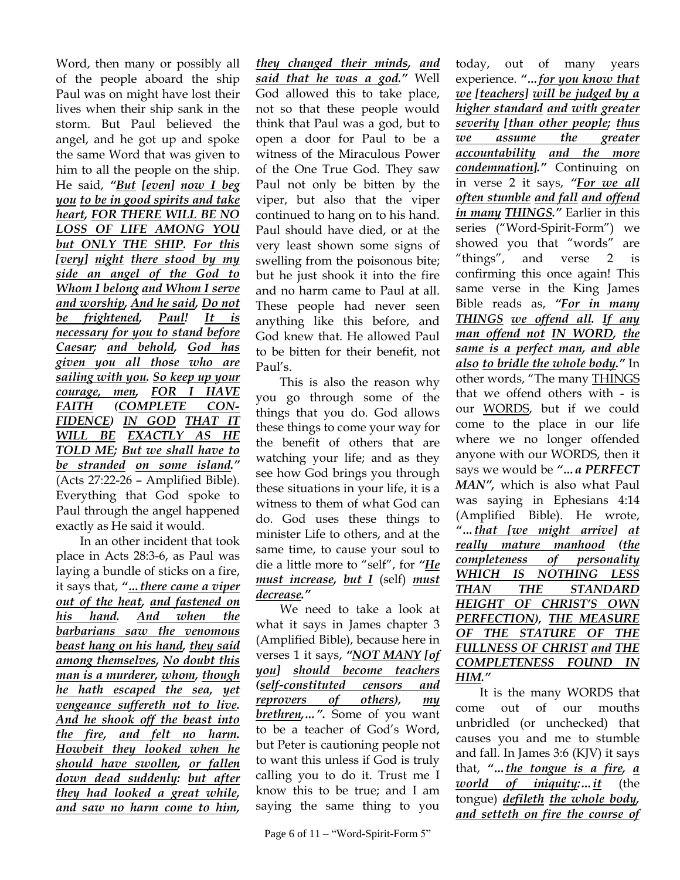Word, then many or possibly all of the people aboard the ship Paul was on might have lost their lives when their ship sank in the storm. But Paul believed the angel, and he got up and spoke the same Word that was given to him to all the people on the ship. He said, *"But [even] now I beg you to be in good spirits and take heart, FOR THERE WILL BE NO LOSS OF LIFE AMONG YOU but ONLY THE SHIP. For this [very] night there stood by my side an angel of the God to Whom I belong and Whom I serve and worship, And he said, Do not be frightened, Paul! It is necessary for you to stand before Caesar; and behold, God has given you all those who are sailing with you. So keep up your courage, men, FOR I HAVE FAITH (COMPLETE CON-FIDENCE) IN GOD THAT IT WILL BE EXACTLY AS HE TOLD ME; But we shall have to be stranded on some island."* (Acts 27:22-26 – Amplified Bible). Everything that God spoke to Paul through the angel happened exactly as He said it would.

In an other incident that took place in Acts 28:3-6, as Paul was laying a bundle of sticks on a fire, it says that, *"…there came a viper out of the heat, and fastened on his hand. And when the barbarians saw the venomous beast hang on his hand, they said among themselves, No doubt this man is a murderer, whom, though he hath escaped the sea, yet vengeance suffereth not to live. And he shook off the beast into the fire, and felt no harm. Howbeit they looked when he should have swollen, or fallen down dead suddenly: but after they had looked a great while, and saw no harm come to him,*

*they changed their minds, and said that he was a god."* Well God allowed this to take place, not so that these people would think that Paul was a god, but to open a door for Paul to be a witness of the Miraculous Power of the One True God. They saw Paul not only be bitten by the viper, but also that the viper continued to hang on to his hand. Paul should have died, or at the very least shown some signs of swelling from the poisonous bite; but he just shook it into the fire and no harm came to Paul at all. These people had never seen anything like this before, and God knew that. He allowed Paul to be bitten for their benefit, not Paul"s.

This is also the reason why you go through some of the things that you do. God allows these things to come your way for the benefit of others that are watching your life; and as they see how God brings you through these situations in your life, it is a witness to them of what God can do. God uses these things to minister Life to others, and at the same time, to cause your soul to die a little more to "self", for *"He must increase, but I* (self) *must decrease."*

We need to take a look at what it says in James chapter 3 (Amplified Bible), because here in verses 1 it says, *"NOT MANY [of you] should become teachers (self-constituted censors and reprovers of others), my brethren,…".* Some of you want to be a teacher of God's Word, but Peter is cautioning people not to want this unless if God is truly calling you to do it. Trust me I know this to be true; and I am saying the same thing to you

today, out of many years experience. *"…for you know that we [teachers] will be judged by a higher standard and with greater severity [than other people; thus we assume the greater accountability and the more condemnation]."* Continuing on in verse 2 it says, *"For we all often stumble and fall and offend in many THINGS."* Earlier in this series ("Word-Spirit-Form") we showed you that "words" are "things", and verse 2 is confirming this once again! This same verse in the King James Bible reads as, *"For in many THINGS we offend all. If any man offend not IN WORD, the same is a perfect man, and able also to bridle the whole body."* In other words, "The many THINGS that we offend others with - is our WORDS, but if we could come to the place in our life where we no longer offended anyone with our WORDS, then it says we would be *"…a PERFECT MAN",* which is also what Paul was saying in Ephesians 4:14 (Amplified Bible). He wrote, *"…that [we might arrive] at really mature manhood (the completeness of personality WHICH IS NOTHING LESS THAN THE STANDARD HEIGHT OF CHRIST'S OWN PERFECTION), THE MEASURE OF THE STATURE OF THE FULLNESS OF CHRIST and THE COMPLETENESS FOUND IN HIM."*

It is the many WORDS that come out of our mouths unbridled (or unchecked) that causes you and me to stumble and fall. In James 3:6 (KJV) it says that, *"…the tongue is a fire, a world of iniquity:…it* (the tongue) *defileth the whole body, and setteth on fire the course of*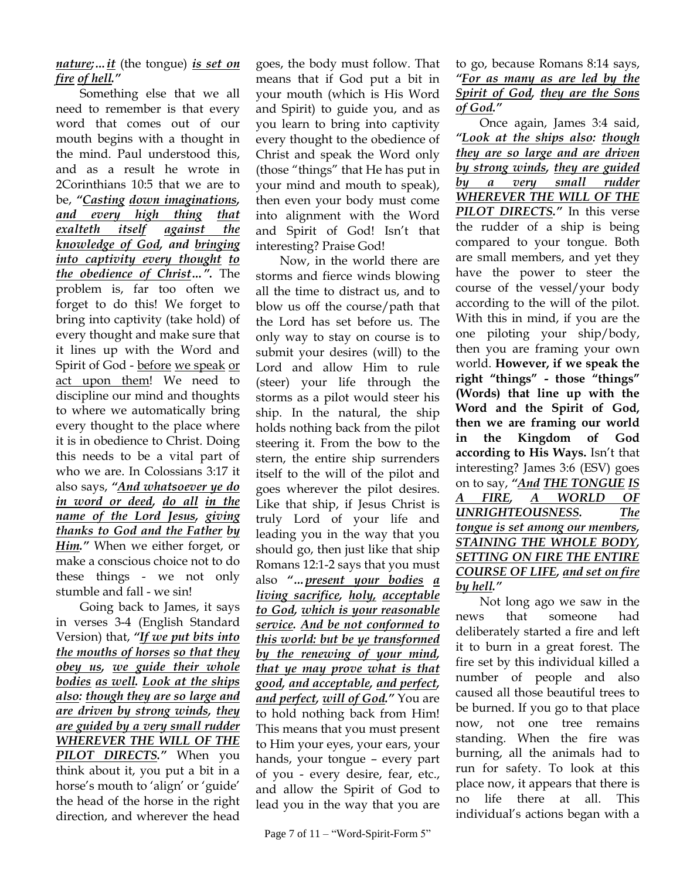*nature;…it* (the tongue) *is set on fire of hell."*

Something else that we all need to remember is that every word that comes out of our mouth begins with a thought in the mind. Paul understood this, and as a result he wrote in 2Corinthians 10:5 that we are to be, *"Casting down imaginations, and every high thing that exalteth itself against the knowledge of God, and bringing into captivity every thought to the obedience of Christ…".* The problem is, far too often we forget to do this! We forget to bring into captivity (take hold) of every thought and make sure that it lines up with the Word and Spirit of God - before we speak or act upon them! We need to discipline our mind and thoughts to where we automatically bring every thought to the place where it is in obedience to Christ. Doing this needs to be a vital part of who we are. In Colossians 3:17 it also says, *"And whatsoever ye do in word or deed, do all in the name of the Lord Jesus, giving thanks to God and the Father by Him."* When we either forget, or make a conscious choice not to do these things - we not only stumble and fall - we sin!

Going back to James, it says in verses 3-4 (English Standard Version) that, *"If we put bits into the mouths of horses so that they obey us, we guide their whole bodies as well. Look at the ships also: though they are so large and are driven by strong winds, they are guided by a very small rudder WHEREVER THE WILL OF THE PILOT DIRECTS."* When you think about it, you put a bit in a horse's mouth to 'align' or 'guide' the head of the horse in the right direction, and wherever the head

goes, the body must follow. That means that if God put a bit in your mouth (which is His Word and Spirit) to guide you, and as you learn to bring into captivity every thought to the obedience of Christ and speak the Word only (those "things" that He has put in your mind and mouth to speak), then even your body must come into alignment with the Word and Spirit of God! Isn"t that interesting? Praise God!

Now, in the world there are storms and fierce winds blowing all the time to distract us, and to blow us off the course/path that the Lord has set before us. The only way to stay on course is to submit your desires (will) to the Lord and allow Him to rule (steer) your life through the storms as a pilot would steer his ship. In the natural, the ship holds nothing back from the pilot steering it. From the bow to the stern, the entire ship surrenders itself to the will of the pilot and goes wherever the pilot desires. Like that ship, if Jesus Christ is truly Lord of your life and leading you in the way that you should go, then just like that ship Romans 12:1-2 says that you must also *"…present your bodies a living sacrifice, holy, acceptable to God, which is your reasonable service. And be not conformed to this world: but be ye transformed by the renewing of your mind, that ye may prove what is that good, and acceptable, and perfect, and perfect, will of God."* You are to hold nothing back from Him! This means that you must present to Him your eyes, your ears, your hands, your tongue – every part of you - every desire, fear, etc., and allow the Spirit of God to lead you in the way that you are to go, because Romans 8:14 says, *"For as many as are led by the Spirit of God, they are the Sons of God."*

Once again, James 3:4 said, *"Look at the ships also: though they are so large and are driven by strong winds, they are guided by a very small rudder WHEREVER THE WILL OF THE PILOT DIRECTS."* In this verse the rudder of a ship is being compared to your tongue. Both are small members, and yet they have the power to steer the course of the vessel/your body according to the will of the pilot. With this in mind, if you are the one piloting your ship/body, then you are framing your own world. **However, if we speak the right "things" - those "things" (Words) that line up with the Word and the Spirit of God, then we are framing our world in the Kingdom of God according to His Ways.** Isn"t that interesting? James 3:6 (ESV) goes on to say, *"And THE TONGUE IS A FIRE, A WORLD OF UNRIGHTEOUSNESS. The tongue is set among our members, STAINING THE WHOLE BODY, SETTING ON FIRE THE ENTIRE COURSE OF LIFE, and set on fire by hell."*

Not long ago we saw in the news that someone had deliberately started a fire and left it to burn in a great forest. The fire set by this individual killed a number of people and also caused all those beautiful trees to be burned. If you go to that place now, not one tree remains standing. When the fire was burning, all the animals had to run for safety. To look at this place now, it appears that there is no life there at all. This individual"s actions began with a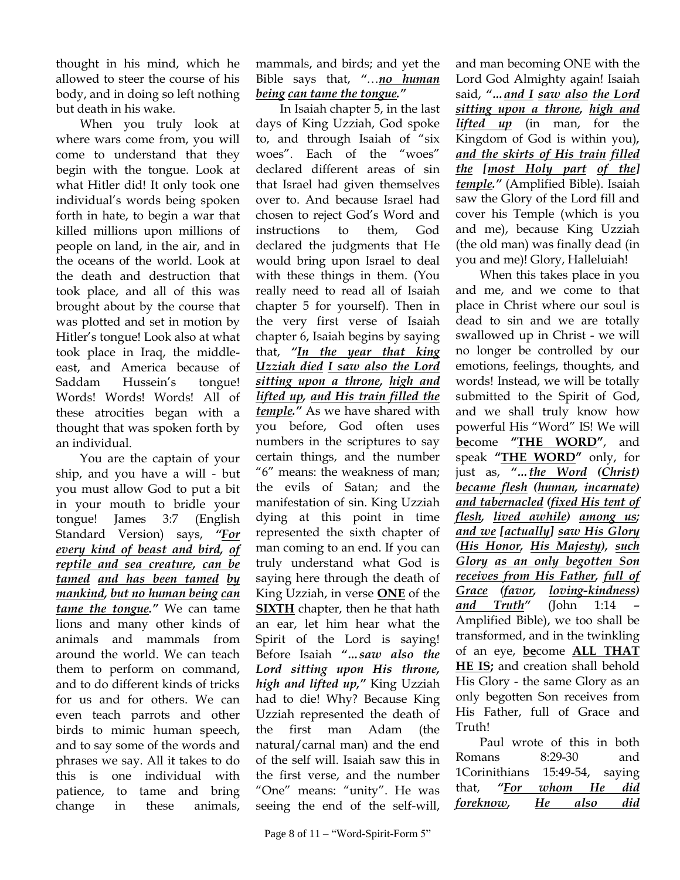thought in his mind, which he allowed to steer the course of his body, and in doing so left nothing but death in his wake.

When you truly look at where wars come from, you will come to understand that they begin with the tongue. Look at what Hitler did! It only took one individual"s words being spoken forth in hate, to begin a war that killed millions upon millions of people on land, in the air, and in the oceans of the world. Look at the death and destruction that took place, and all of this was brought about by the course that was plotted and set in motion by Hitler"s tongue! Look also at what took place in Iraq, the middleeast, and America because of Saddam Hussein's tongue! Words! Words! Words! All of these atrocities began with a thought that was spoken forth by an individual.

You are the captain of your ship, and you have a will - but you must allow God to put a bit in your mouth to bridle your tongue! James 3:7 (English Standard Version) says, *"For every kind of beast and bird, of reptile and sea creature, can be tamed and has been tamed by mankind, but no human being can tame the tongue."* We can tame lions and many other kinds of animals and mammals from around the world. We can teach them to perform on command, and to do different kinds of tricks for us and for others. We can even teach parrots and other birds to mimic human speech, and to say some of the words and phrases we say. All it takes to do this is one individual with patience, to tame and bring change in these animals,

mammals, and birds; and yet the Bible says that, *"*…*no human being can tame the tongue."*

In Isaiah chapter 5, in the last days of King Uzziah, God spoke to, and through Isaiah of "six woes". Each of the "woes" declared different areas of sin that Israel had given themselves over to. And because Israel had chosen to reject God"s Word and instructions to them, God declared the judgments that He would bring upon Israel to deal with these things in them. (You really need to read all of Isaiah chapter 5 for yourself). Then in the very first verse of Isaiah chapter 6, Isaiah begins by saying that, *"In the year that king Uzziah died I saw also the Lord sitting upon a throne, high and lifted up, and His train filled the temple."* As we have shared with you before, God often uses numbers in the scriptures to say certain things, and the number "6" means: the weakness of man; the evils of Satan; and the manifestation of sin. King Uzziah dying at this point in time represented the sixth chapter of man coming to an end. If you can truly understand what God is saying here through the death of King Uzziah, in verse **ONE** of the **SIXTH** chapter, then he that hath an ear, let him hear what the Spirit of the Lord is saying! Before Isaiah *"…saw also the Lord sitting upon His throne, high and lifted up,"* King Uzziah had to die! Why? Because King Uzziah represented the death of the first man Adam (the natural/carnal man) and the end of the self will. Isaiah saw this in the first verse, and the number "One" means: "unity". He was seeing the end of the self-will,

and man becoming ONE with the Lord God Almighty again! Isaiah said, *"…and I saw also the Lord sitting upon a throne, high and lifted up* (in man, for the Kingdom of God is within you)*, and the skirts of His train filled the [most Holy part of the] temple."* (Amplified Bible). Isaiah saw the Glory of the Lord fill and cover his Temple (which is you and me), because King Uzziah (the old man) was finally dead (in you and me)! Glory, Halleluiah!

When this takes place in you and me, and we come to that place in Christ where our soul is dead to sin and we are totally swallowed up in Christ - we will no longer be controlled by our emotions, feelings, thoughts, and words! Instead, we will be totally submitted to the Spirit of God, and we shall truly know how powerful His "Word" IS! We will **be**come **"THE WORD"**, and speak **"THE WORD"** only, for just as, *"…the Word (Christ) became flesh (human, incarnate) and tabernacled (fixed His tent of flesh, lived awhile) among us; and we [actually] saw His Glory (His Honor, His Majesty), such Glory as an only begotten Son receives from His Father, full of Grace (favor, loving-kindness) and Truth"* (John 1:14 – Amplified Bible), we too shall be transformed, and in the twinkling of an eye, **be**come **ALL THAT HE IS;** and creation shall behold His Glory - the same Glory as an only begotten Son receives from His Father, full of Grace and Truth!

Paul wrote of this in both Romans 8:29-30 and 1Corinithians 15:49-54, saying that, *"For whom He did foreknow, He also did*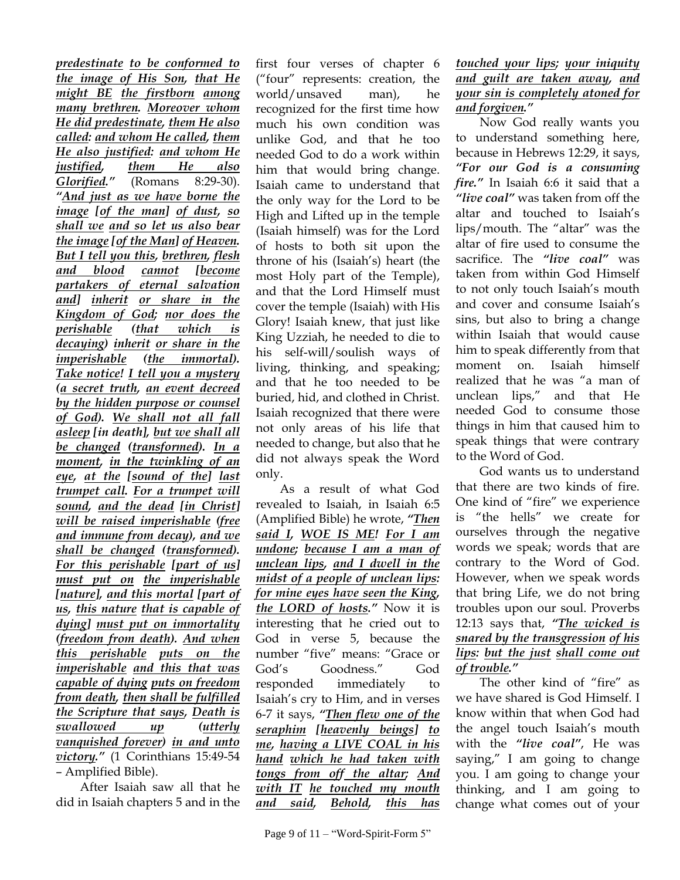*predestinate to be conformed to the image of His Son, that He might BE the firstborn among many brethren. Moreover whom He did predestinate, them He also called: and whom He called, them He also justified: and whom He justified, them He also Glorified."* (Romans 8:29-30). *"And just as we have borne the image [of the man] of dust, so shall we and so let us also bear the image [of the Man] of Heaven. But I tell you this, brethren, flesh and blood cannot [become partakers of eternal salvation and] inherit or share in the Kingdom of God; nor does the perishable (that which is decaying) inherit or share in the imperishable (the immortal). Take notice! I tell you a mystery (a secret truth, an event decreed by the hidden purpose or counsel of God). We shall not all fall asleep [in death], but we shall all be changed (transformed). In a moment, in the twinkling of an eye, at the [sound of the] last trumpet call. For a trumpet will sound, and the dead [in Christ] will be raised imperishable (free and immune from decay), and we shall be changed (transformed). For this perishable [part of us] must put on the imperishable [nature], and this mortal [part of us, this nature that is capable of dying] must put on immortality (freedom from death). And when this perishable puts on the imperishable and this that was capable of dying puts on freedom from death, then shall be fulfilled the Scripture that says, Death is swallowed up (utterly vanquished forever) in and unto victory."* (1 Corinthians 15:49-54 – Amplified Bible).

After Isaiah saw all that he did in Isaiah chapters 5 and in the first four verses of chapter 6 ("four" represents: creation, the world/unsaved man), he recognized for the first time how much his own condition was unlike God, and that he too needed God to do a work within him that would bring change. Isaiah came to understand that the only way for the Lord to be High and Lifted up in the temple (Isaiah himself) was for the Lord of hosts to both sit upon the throne of his (Isaiah"s) heart (the most Holy part of the Temple), and that the Lord Himself must cover the temple (Isaiah) with His Glory! Isaiah knew, that just like King Uzziah, he needed to die to his self-will/soulish ways of living, thinking, and speaking; and that he too needed to be buried, hid, and clothed in Christ. Isaiah recognized that there were not only areas of his life that needed to change, but also that he did not always speak the Word only.

As a result of what God revealed to Isaiah, in Isaiah 6:5 (Amplified Bible) he wrote, *"Then said I, WOE IS ME! For I am undone; because I am a man of unclean lips, and I dwell in the midst of a people of unclean lips: for mine eyes have seen the King, the LORD of hosts."* Now it is interesting that he cried out to God in verse 5, because the number "five" means: "Grace or God"s Goodness." God responded immediately to Isaiah"s cry to Him, and in verses 6-7 it says, *"Then flew one of the seraphim [heavenly beings] to me, having a LIVE COAL in his hand which he had taken with tongs from off the altar; And with IT he touched my mouth and said, Behold, this has* 

## *touched your lips; your iniquity and guilt are taken away, and your sin is completely atoned for and forgiven."*

Now God really wants you to understand something here, because in Hebrews 12:29, it says, *"For our God is a consuming fire."* In Isaiah 6:6 it said that a *"live coal"* was taken from off the altar and touched to Isaiah"s lips/mouth. The "altar" was the altar of fire used to consume the sacrifice. The *"live coal"* was taken from within God Himself to not only touch Isaiah"s mouth and cover and consume Isaiah"s sins, but also to bring a change within Isaiah that would cause him to speak differently from that moment on. Isaiah himself realized that he was "a man of unclean lips," and that He needed God to consume those things in him that caused him to speak things that were contrary to the Word of God.

God wants us to understand that there are two kinds of fire. One kind of "fire" we experience is "the hells" we create for ourselves through the negative words we speak; words that are contrary to the Word of God. However, when we speak words that bring Life, we do not bring troubles upon our soul. Proverbs 12:13 says that, *"The wicked is snared by the transgression of his lips: but the just shall come out of trouble."*

The other kind of "fire" as we have shared is God Himself. I know within that when God had the angel touch Isaiah's mouth with the *"live coal"*, He was saying," I am going to change you. I am going to change your thinking, and I am going to change what comes out of your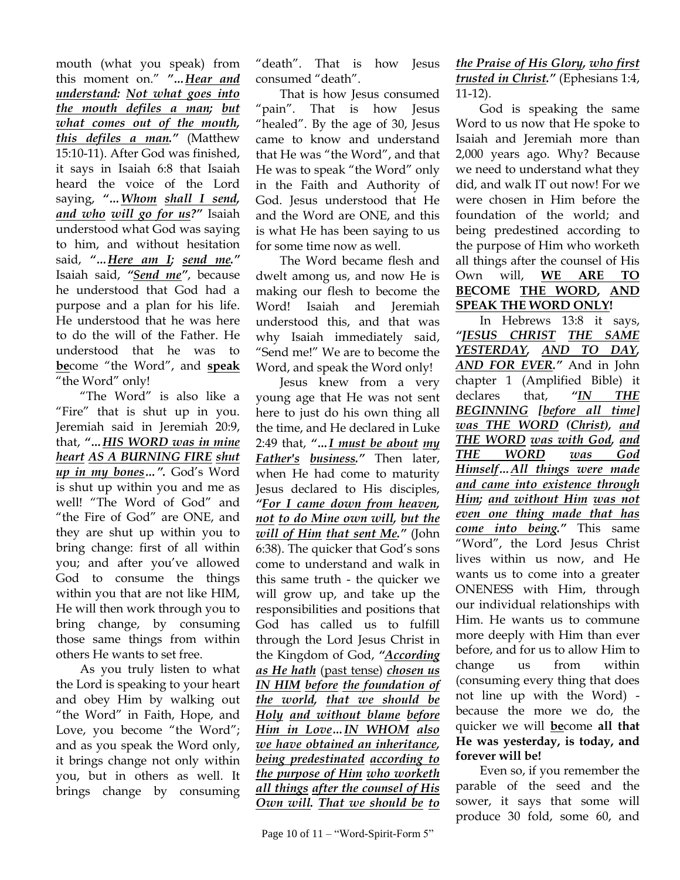mouth (what you speak) from this moment on." *"…Hear and understand: Not what goes into the mouth defiles a man; but what comes out of the mouth, this defiles a man."* (Matthew 15:10-11). After God was finished, it says in Isaiah 6:8 that Isaiah heard the voice of the Lord saying, *"…Whom shall I send, and who will go for us?"* Isaiah understood what God was saying to him, and without hesitation said, *"…Here am I; send me."* Isaiah said, *"Send me"*, because he understood that God had a purpose and a plan for his life. He understood that he was here to do the will of the Father. He understood that he was to **be**come "the Word", and **speak**  "the Word" only!

"The Word" is also like a "Fire" that is shut up in you. Jeremiah said in Jeremiah 20:9, that, *"…HIS WORD was in mine heart AS A BURNING FIRE shut up in my bones…".* God"s Word is shut up within you and me as well! "The Word of God" and "the Fire of God" are ONE, and they are shut up within you to bring change: first of all within you; and after you"ve allowed God to consume the things within you that are not like HIM, He will then work through you to bring change, by consuming those same things from within others He wants to set free.

As you truly listen to what the Lord is speaking to your heart and obey Him by walking out "the Word" in Faith, Hope, and Love, you become "the Word"; and as you speak the Word only, it brings change not only within you, but in others as well. It brings change by consuming

"death". That is how Jesus consumed "death".

That is how Jesus consumed "pain". That is how Jesus "healed". By the age of 30, Jesus came to know and understand that He was "the Word", and that He was to speak "the Word" only in the Faith and Authority of God. Jesus understood that He and the Word are ONE, and this is what He has been saying to us for some time now as well.

The Word became flesh and dwelt among us, and now He is making our flesh to become the Word! Isaiah and Jeremiah understood this, and that was why Isaiah immediately said, "Send me!" We are to become the Word, and speak the Word only!

Jesus knew from a very young age that He was not sent here to just do his own thing all the time, and He declared in Luke 2:49 that, *"…I must be about my Father's business."* Then later, when He had come to maturity Jesus declared to His disciples, *"For I came down from heaven, not to do Mine own will, but the will of Him that sent Me."* (John 6:38). The quicker that God's sons come to understand and walk in this same truth - the quicker we will grow up, and take up the responsibilities and positions that God has called us to fulfill through the Lord Jesus Christ in the Kingdom of God, *"According as He hath* (past tense) *chosen us IN HIM before the foundation of the world, that we should be Holy and without blame before Him in Love…IN WHOM also we have obtained an inheritance, being predestinated according to the purpose of Him who worketh all things after the counsel of His Own will. That we should be to* 

*the Praise of His Glory, who first trusted in Christ."* (Ephesians 1:4, 11-12).

God is speaking the same Word to us now that He spoke to Isaiah and Jeremiah more than 2,000 years ago. Why? Because we need to understand what they did, and walk IT out now! For we were chosen in Him before the foundation of the world; and being predestined according to the purpose of Him who worketh all things after the counsel of His Own will, **WE ARE TO BECOME THE WORD, AND SPEAK THE WORD ONLY!**

In Hebrews 13:8 it says, *"JESUS CHRIST THE SAME YESTERDAY, AND TO DAY, AND FOR EVER."* And in John chapter 1 (Amplified Bible) it declares that, *"IN THE BEGINNING [before all time] was THE WORD (Christ), and THE WORD was with God, and THE WORD was God Himself…All things were made and came into existence through Him; and without Him was not even one thing made that has come into being."* This same "Word", the Lord Jesus Christ lives within us now, and He wants us to come into a greater ONENESS with Him, through our individual relationships with Him. He wants us to commune more deeply with Him than ever before, and for us to allow Him to change us from within (consuming every thing that does not line up with the Word) because the more we do, the quicker we will **be**come **all that He was yesterday, is today, and forever will be!**

Even so, if you remember the parable of the seed and the sower, it says that some will produce 30 fold, some 60, and